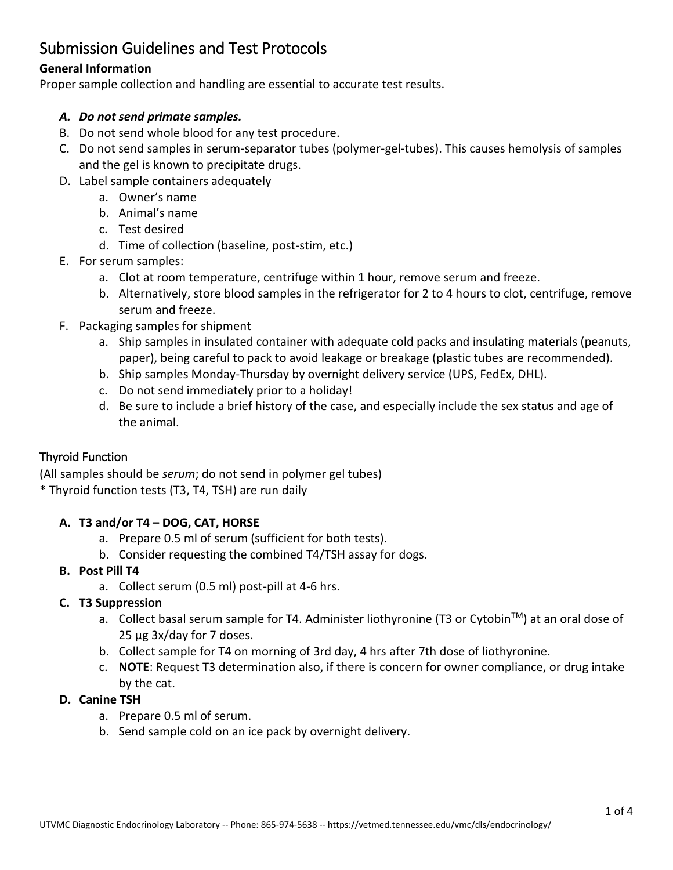# Submission Guidelines and Test Protocols

# **General Information**

Proper sample collection and handling are essential to accurate test results.

#### *A. Do not send primate samples.*

- B. Do not send whole blood for any test procedure.
- C. Do not send samples in serum-separator tubes (polymer-gel-tubes). This causes hemolysis of samples and the gel is known to precipitate drugs.
- D. Label sample containers adequately
	- a. Owner's name
	- b. Animal's name
	- c. Test desired
	- d. Time of collection (baseline, post-stim, etc.)
- E. For serum samples:
	- a. Clot at room temperature, centrifuge within 1 hour, remove serum and freeze.
	- b. Alternatively, store blood samples in the refrigerator for 2 to 4 hours to clot, centrifuge, remove serum and freeze.
- F. Packaging samples for shipment
	- a. Ship samples in insulated container with adequate cold packs and insulating materials (peanuts, paper), being careful to pack to avoid leakage or breakage (plastic tubes are recommended).
	- b. Ship samples Monday-Thursday by overnight delivery service (UPS, FedEx, DHL).
	- c. Do not send immediately prior to a holiday!
	- d. Be sure to include a brief history of the case, and especially include the sex status and age of the animal.

## Thyroid Function

(All samples should be *serum*; do not send in polymer gel tubes) \* Thyroid function tests (T3, T4, TSH) are run daily

## **A. T3 and/or T4 – DOG, CAT, HORSE**

- a. Prepare 0.5 ml of serum (sufficient for both tests).
- b. Consider requesting the combined T4/TSH assay for dogs.

#### **B. Post Pill T4**

a. Collect serum (0.5 ml) post-pill at 4-6 hrs.

## **C. T3 Suppression**

- a. Collect basal serum sample for T4. Administer liothyronine (T3 or Cytobin<sup>™</sup>) at an oral dose of 25 µg 3x/day for 7 doses.
- b. Collect sample for T4 on morning of 3rd day, 4 hrs after 7th dose of liothyronine.
- c. **NOTE**: Request T3 determination also, if there is concern for owner compliance, or drug intake by the cat.

#### **D. Canine TSH**

- a. Prepare 0.5 ml of serum.
- b. Send sample cold on an ice pack by overnight delivery.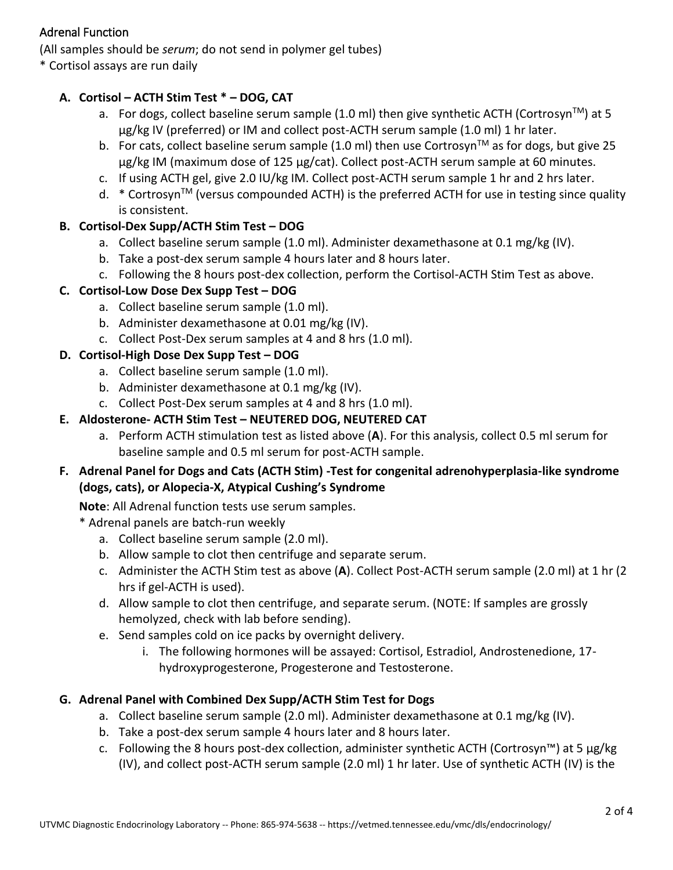## Adrenal Function

(All samples should be *serum*; do not send in polymer gel tubes)

\* Cortisol assays are run daily

## **A. Cortisol – ACTH Stim Test \* – DOG, CAT**

- a. For dogs, collect baseline serum sample (1.0 ml) then give synthetic ACTH (Cortrosyn<sup>TM</sup>) at 5 µg/kg IV (preferred) or IM and collect post-ACTH serum sample (1.0 ml) 1 hr later.
- b. For cats, collect baseline serum sample (1.0 ml) then use Cortrosyn<sup>TM</sup> as for dogs, but give 25 µg/kg IM (maximum dose of 125 µg/cat). Collect post-ACTH serum sample at 60 minutes.
- c. If using ACTH gel, give 2.0 IU/kg IM. Collect post-ACTH serum sample 1 hr and 2 hrs later.
- $d.$  \* Cortrosyn<sup>TM</sup> (versus compounded ACTH) is the preferred ACTH for use in testing since quality is consistent.

# **B. Cortisol-Dex Supp/ACTH Stim Test – DOG**

- a. Collect baseline serum sample (1.0 ml). Administer dexamethasone at 0.1 mg/kg (IV).
- b. Take a post-dex serum sample 4 hours later and 8 hours later.
- c. Following the 8 hours post-dex collection, perform the Cortisol-ACTH Stim Test as above.

# **C. Cortisol-Low Dose Dex Supp Test – DOG**

- a. Collect baseline serum sample (1.0 ml).
- b. Administer dexamethasone at 0.01 mg/kg (IV).
- c. Collect Post-Dex serum samples at 4 and 8 hrs (1.0 ml).

## **D. Cortisol-High Dose Dex Supp Test – DOG**

- a. Collect baseline serum sample (1.0 ml).
- b. Administer dexamethasone at 0.1 mg/kg (IV).
- c. Collect Post-Dex serum samples at 4 and 8 hrs (1.0 ml).

# **E. Aldosterone- ACTH Stim Test – NEUTERED DOG, NEUTERED CAT**

a. Perform ACTH stimulation test as listed above (**A**). For this analysis, collect 0.5 ml serum for baseline sample and 0.5 ml serum for post-ACTH sample.

## **F. Adrenal Panel for Dogs and Cats (ACTH Stim) -Test for congenital adrenohyperplasia-like syndrome (dogs, cats), or Alopecia-X, Atypical Cushing's Syndrome**

**Note**: All Adrenal function tests use serum samples.

\* Adrenal panels are batch-run weekly

- a. Collect baseline serum sample (2.0 ml).
- b. Allow sample to clot then centrifuge and separate serum.
- c. Administer the ACTH Stim test as above (**A**). Collect Post-ACTH serum sample (2.0 ml) at 1 hr (2 hrs if gel-ACTH is used).
- d. Allow sample to clot then centrifuge, and separate serum. (NOTE: If samples are grossly hemolyzed, check with lab before sending).
- e. Send samples cold on ice packs by overnight delivery.
	- i. The following hormones will be assayed: Cortisol, Estradiol, Androstenedione, 17 hydroxyprogesterone, Progesterone and Testosterone.

# **G. Adrenal Panel with Combined Dex Supp/ACTH Stim Test for Dogs**

- a. Collect baseline serum sample (2.0 ml). Administer dexamethasone at 0.1 mg/kg (IV).
- b. Take a post-dex serum sample 4 hours later and 8 hours later.
- c. Following the 8 hours post-dex collection, administer synthetic ACTH (Cortrosyn<sup>m</sup>) at 5  $\mu$ g/kg (IV), and collect post-ACTH serum sample (2.0 ml) 1 hr later. Use of synthetic ACTH (IV) is the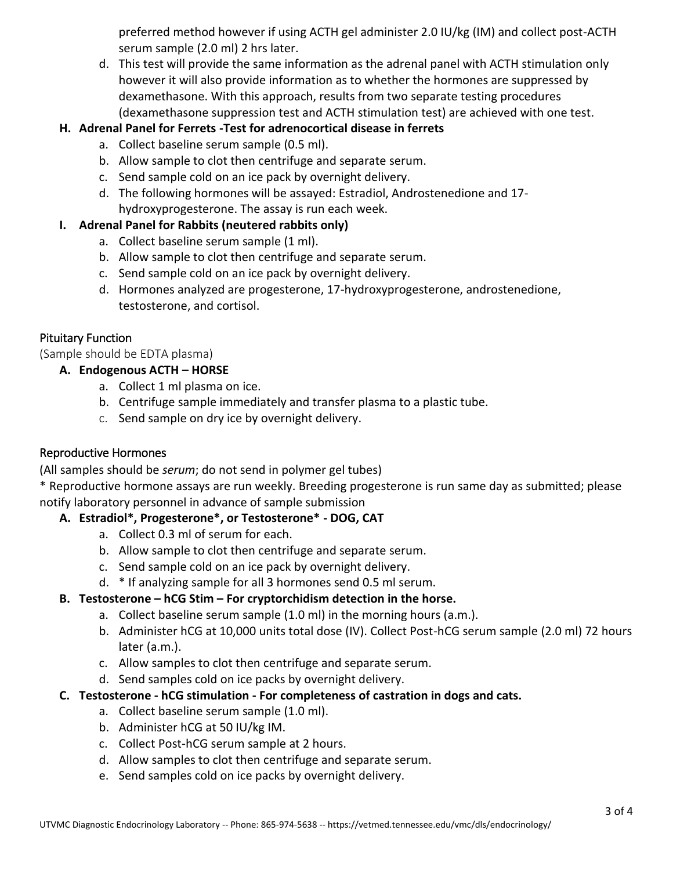preferred method however if using ACTH gel administer 2.0 IU/kg (IM) and collect post-ACTH serum sample (2.0 ml) 2 hrs later.

d. This test will provide the same information as the adrenal panel with ACTH stimulation only however it will also provide information as to whether the hormones are suppressed by dexamethasone. With this approach, results from two separate testing procedures (dexamethasone suppression test and ACTH stimulation test) are achieved with one test.

## **H. Adrenal Panel for Ferrets -Test for adrenocortical disease in ferrets**

- a. Collect baseline serum sample (0.5 ml).
- b. Allow sample to clot then centrifuge and separate serum.
- c. Send sample cold on an ice pack by overnight delivery.
- d. The following hormones will be assayed: Estradiol, Androstenedione and 17 hydroxyprogesterone. The assay is run each week.

## **I. Adrenal Panel for Rabbits (neutered rabbits only)**

- a. Collect baseline serum sample (1 ml).
- b. Allow sample to clot then centrifuge and separate serum.
- c. Send sample cold on an ice pack by overnight delivery.
- d. Hormones analyzed are progesterone, 17-hydroxyprogesterone, androstenedione, testosterone, and cortisol.

# Pituitary Function

(Sample should be EDTA plasma)

## **A. Endogenous ACTH – HORSE**

- a. Collect 1 ml plasma on ice.
- b. Centrifuge sample immediately and transfer plasma to a plastic tube.
- c. Send sample on dry ice by overnight delivery.

## Reproductive Hormones

(All samples should be *serum*; do not send in polymer gel tubes)

\* Reproductive hormone assays are run weekly. Breeding progesterone is run same day as submitted; please notify laboratory personnel in advance of sample submission

## **A. Estradiol\*, Progesterone\*, or Testosterone\* - DOG, CAT**

- a. Collect 0.3 ml of serum for each.
- b. Allow sample to clot then centrifuge and separate serum.
- c. Send sample cold on an ice pack by overnight delivery.
- d. \* If analyzing sample for all 3 hormones send 0.5 ml serum.

# **B. Testosterone – hCG Stim – For cryptorchidism detection in the horse.**

- a. Collect baseline serum sample (1.0 ml) in the morning hours (a.m.).
- b. Administer hCG at 10,000 units total dose (IV). Collect Post-hCG serum sample (2.0 ml) 72 hours later (a.m.).
- c. Allow samples to clot then centrifuge and separate serum.
- d. Send samples cold on ice packs by overnight delivery.
- **C. Testosterone - hCG stimulation - For completeness of castration in dogs and cats.** 
	- a. Collect baseline serum sample (1.0 ml).
	- b. Administer hCG at 50 IU/kg IM.
	- c. Collect Post-hCG serum sample at 2 hours.
	- d. Allow samples to clot then centrifuge and separate serum.
	- e. Send samples cold on ice packs by overnight delivery.